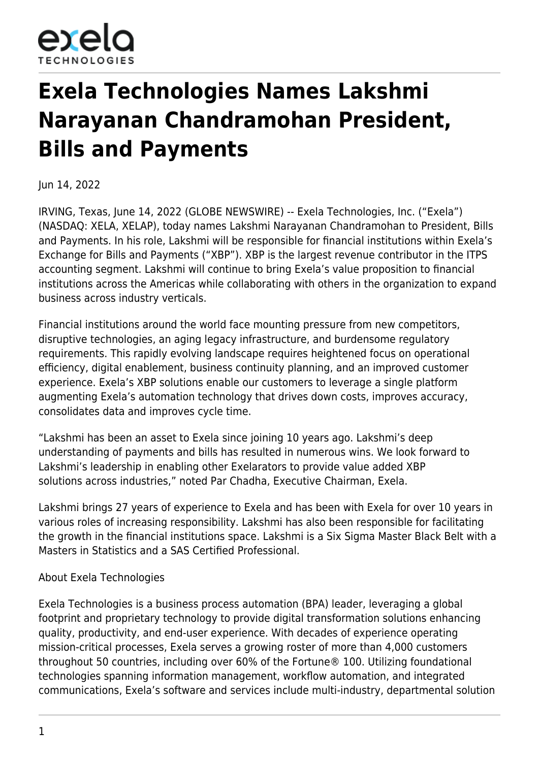

## **Exela Technologies Names Lakshmi Narayanan Chandramohan President, Bills and Payments**

Jun 14, 2022

IRVING, Texas, June 14, 2022 (GLOBE NEWSWIRE) -- Exela Technologies, Inc. ("Exela") (NASDAQ: XELA, XELAP), today names Lakshmi Narayanan Chandramohan to President, Bills and Payments. In his role, Lakshmi will be responsible for financial institutions within Exela's Exchange for Bills and Payments ("XBP"). XBP is the largest revenue contributor in the ITPS accounting segment. Lakshmi will continue to bring Exela's value proposition to financial institutions across the Americas while collaborating with others in the organization to expand business across industry verticals.

Financial institutions around the world face mounting pressure from new competitors, disruptive technologies, an aging legacy infrastructure, and burdensome regulatory requirements. This rapidly evolving landscape requires heightened focus on operational efficiency, digital enablement, business continuity planning, and an improved customer experience. Exela's XBP solutions enable our customers to leverage a single platform augmenting Exela's automation technology that drives down costs, improves accuracy, consolidates data and improves cycle time.

"Lakshmi has been an asset to Exela since joining 10 years ago. Lakshmi's deep understanding of payments and bills has resulted in numerous wins. We look forward to Lakshmi's leadership in enabling other Exelarators to provide value added XBP solutions across industries," noted Par Chadha, Executive Chairman, Exela.

Lakshmi brings 27 years of experience to Exela and has been with Exela for over 10 years in various roles of increasing responsibility. Lakshmi has also been responsible for facilitating the growth in the financial institutions space. Lakshmi is a Six Sigma Master Black Belt with a Masters in Statistics and a SAS Certified Professional.

## About Exela Technologies

Exela Technologies is a business process automation (BPA) leader, leveraging a global footprint and proprietary technology to provide digital transformation solutions enhancing quality, productivity, and end-user experience. With decades of experience operating mission-critical processes, Exela serves a growing roster of more than 4,000 customers throughout 50 countries, including over 60% of the Fortune® 100. Utilizing foundational technologies spanning information management, workflow automation, and integrated communications, Exela's software and services include multi-industry, departmental solution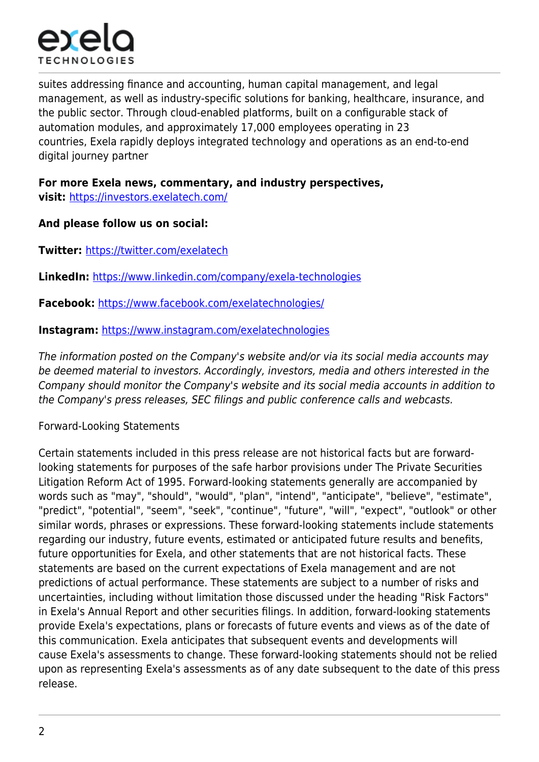

suites addressing finance and accounting, human capital management, and legal management, as well as industry-specific solutions for banking, healthcare, insurance, and the public sector. Through cloud-enabled platforms, built on a configurable stack of automation modules, and approximately 17,000 employees operating in 23 countries, Exela rapidly deploys integrated technology and operations as an end-to-end digital journey partner

**For more Exela news, commentary, and industry perspectives,**

**visit:** [https://investors.exelatech.com/](https://www.globenewswire.com/Tracker?data=twT8onmHQCdGDVuPfH9pp1y8KhPSjM_xWOA5u184mwdMfegPndv3N0H0YJOkEXDOZVPMgrccWElHct5eMHkQGHZ2vfsmofs0T29xCxXI7Va4mQw881giSmtiOzNLep8ahgMxSItyrZm_3DNPfil0C5F_hPtZco2Ea92BubcZaYh8EOn6tqkm9dBpPepTBWsexdXmSDDuNPsK3h-Hqf0x7x3CHdOWbbBHyp77KUL_yCbQoJ2orBCFvXRBEE2BEpLaJ6oudfQFTPhM18C-3WgnWIOHd0OBwmc97As2O0jaLbdsOM2kUuEhessYlI_HD3Wa)

**And please follow us on social:**

**Twitter:** [https://twitter.com/exelatech](https://www.globenewswire.com/Tracker?data=twT8onmHQCdGDVuPfH9pp4vWyLvjqezD2edDqp_WvIOVfSXn-KB0CgYgBUvGI6qcp7tuy_Yf75d5VWIe05QsRkpPTcqDMKxfTI_Tbcp2qAT08CZFo07Y9bbYN-iUpVl-HeNdHDCHG2PoeChCO6orUiRdb3NnjquRHjy9zMnoLGDCFRGwNwudbwqhWCguFXfv5HPvTKj-9M85dHAWK97Cv3Emvlcok7O8cqBkyapTkQahvK1DYJ8NYV1Wb3by8luIbCM2tunBOg3nUwAW4KJp8w==)

**LinkedIn:** [https://www.linkedin.com/company/exela-technologies](https://www.globenewswire.com/Tracker?data=twT8onmHQCdGDVuPfH9ppzG5fpOh7qb423ao-E7v25aY1KqI3EtkX1W37Xzz2ZMAMqEihY0cesq_8F-UaEuAt-dzxEI2xw45V9zXa-_n8_8iCXqfl47spfspQ0Uww_MWnzmgRAByjqS56AeX7b73J0RfCGDshLa8LelvIWXv1T5xHwEtT7sZSRqm9MJ5BPC9qQfhBkv0gNq85p4RPOGqISa5MDHEarGXblmYM5wUjLczIfZmVQQW9FRlr0zsdUaU43OzkXC0fVgCNaURE6QJ5zqlyFGIOnmtZ2CoVLci1WpAuahG4Bxt8FvbXiVskI96a3_TvQEGasRWucu_AqiQXD2Lok_vYuTIMhDL4LDDBwLxMeqLa8GqPgnzEjyYst5v3OgoiRbFlBz9OoWd9-_fFA==)

**Facebook:** [https://www.facebook.com/exelatechnologies/](https://www.globenewswire.com/Tracker?data=twT8onmHQCdGDVuPfH9pp03A8xf2bwa3eniKzfZSetVIYaP11H0fkljv9h8dcur0OATE4PAwhIyjeh-UTGLtNHBYxU-Pmwb6Bu39GPX4lA0thYpAn5zxuTuF6oPwntr2zGyY8Oadhi7rzuSd-sdShuwqq4mPPu6b6-s7aGxqYa-COBtpm6CLeWSEJNQLIjz5cH6qe56cZpmReSuZuHhOa6l_cfWFYhABKpQ7ZF7MjoWUo4q55Sx8jwnLtgx9yhcecc1h7vZHItF5lN_EkZjkDLDa4WCpgECQRWXlYM7vvjBavnPDwm4TeYz0Flu89xg1hLvOrDG_cH4GgmMHQvJ0Ub41Gi3sJJ5uLhnEs7zAloM=)

**Instagram:** [https://www.instagram.com/exelatechnologies](https://www.globenewswire.com/Tracker?data=twT8onmHQCdGDVuPfH9pp0IXljnZwNRiaWgN7GfBJd4Ypiu6NOn2puX9DKowvA5knx74B_mKoN9G-OL8RTM4xZ9LI-UEKYnU-7EBYlKiv75vUdZ7doY7yBNcKXd8ld98-ngcgt6BKEG9HcfjwHb8FpMIHufeY30XmSkoP_lEpPdbZkhiWnosaFiyCh5xA0spHV4SjQWD5CdknAen8ClMeVFq9Af7IhaBjsGP3QOvzpUzNDgdq1Xs9uDOQXhBbMgx-3xps_y1LjCH-WzLogUmY3OGEBuwmm1Lk7DFN2nTRLOcZbqNyHtLx1JbpYFF_dIG8-NCztfSJ4M_V6M4c03sAjNmgDUa6RzY1TwWiBpdPSE=)

The information posted on the Company's website and/or via its social media accounts may be deemed material to investors. Accordingly, investors, media and others interested in the Company should monitor the Company's website and its social media accounts in addition to the Company's press releases, SEC filings and public conference calls and webcasts.

## Forward-Looking Statements

Certain statements included in this press release are not historical facts but are forwardlooking statements for purposes of the safe harbor provisions under The Private Securities Litigation Reform Act of 1995. Forward-looking statements generally are accompanied by words such as "may", "should", "would", "plan", "intend", "anticipate", "believe", "estimate", "predict", "potential", "seem", "seek", "continue", "future", "will", "expect", "outlook" or other similar words, phrases or expressions. These forward-looking statements include statements regarding our industry, future events, estimated or anticipated future results and benefits, future opportunities for Exela, and other statements that are not historical facts. These statements are based on the current expectations of Exela management and are not predictions of actual performance. These statements are subject to a number of risks and uncertainties, including without limitation those discussed under the heading "Risk Factors" in Exela's Annual Report and other securities filings. In addition, forward-looking statements provide Exela's expectations, plans or forecasts of future events and views as of the date of this communication. Exela anticipates that subsequent events and developments will cause Exela's assessments to change. These forward-looking statements should not be relied upon as representing Exela's assessments as of any date subsequent to the date of this press release.